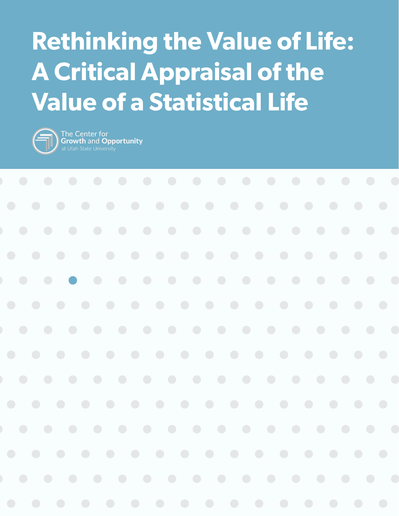# **Rethinking the Value of Life: A Critical Appraisal of the Value of a Statistical Life**



The Center for<br>Growth and Opportunity

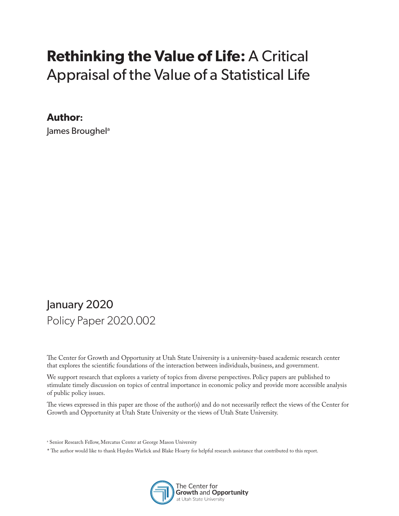## **Rethinking the Value of Life:** A Critical Appraisal of the Value of a Statistical Life

#### **Author:**

James Broughel<sup>a</sup>

#### January 2020 Policy Paper 2020.002

The Center for Growth and Opportunity at Utah State University is a university-based academic research center that explores the scientific foundations of the interaction between individuals, business, and government.

We support research that explores a variety of topics from diverse perspectives. Policy papers are published to stimulate timely discussion on topics of central importance in economic policy and provide more accessible analysis of public policy issues.

The views expressed in this paper are those of the author(s) and do not necessarily reflect the views of the Center for Growth and Opportunity at Utah State University or the views of Utah State University.

- a Senior Research Fellow, Mercatus Center at George Mason University
- \* The author would like to thank Hayden Warlick and Blake Hoarty for helpful research assistance that contributed to this report.

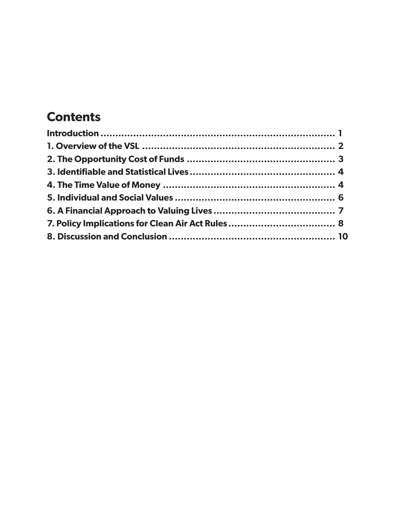#### **Contents**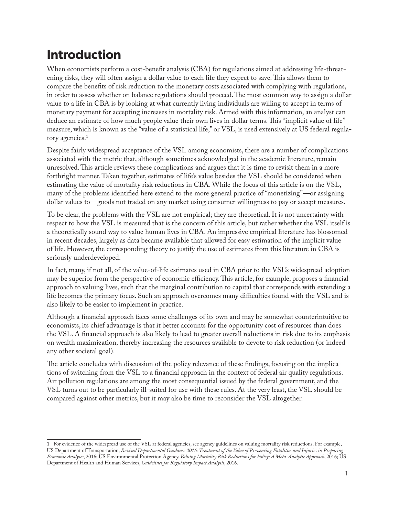#### **Introduction**

When economists perform a cost-benefit analysis (CBA) for regulations aimed at addressing life-threatening risks, they will often assign a dollar value to each life they expect to save. This allows them to compare the benefits of risk reduction to the monetary costs associated with complying with regulations, in order to assess whether on balance regulations should proceed. The most common way to assign a dollar value to a life in CBA is by looking at what currently living individuals are willing to accept in terms of monetary payment for accepting increases in mortality risk. Armed with this information, an analyst can deduce an estimate of how much people value their own lives in dollar terms. This "implicit value of life" measure, which is known as the "value of a statistical life," or VSL, is used extensively at US federal regulatory agencies.<sup>1</sup>

Despite fairly widespread acceptance of the VSL among economists, there are a number of complications associated with the metric that, although sometimes acknowledged in the academic literature, remain unresolved. This article reviews these complications and argues that it is time to revisit them in a more forthright manner. Taken together, estimates of life's value besides the VSL should be considered when estimating the value of mortality risk reductions in CBA. While the focus of this article is on the VSL, many of the problems identified here extend to the more general practice of "monetizing"—or assigning dollar values to—goods not traded on any market using consumer willingness to pay or accept measures.

To be clear, the problems with the VSL are not empirical; they are theoretical. It is not uncertainty with respect to how the VSL is measured that is the concern of this article, but rather whether the VSL itself is a theoretically sound way to value human lives in CBA. An impressive empirical literature has blossomed in recent decades, largely as data became available that allowed for easy estimation of the implicit value of life. However, the corresponding theory to justify the use of estimates from this literature in CBA is seriously underdeveloped.

In fact, many, if not all, of the value-of-life estimates used in CBA prior to the VSL's widespread adoption may be superior from the perspective of economic efficiency. This article, for example, proposes a financial approach to valuing lives, such that the marginal contribution to capital that corresponds with extending a life becomes the primary focus. Such an approach overcomes many difficulties found with the VSL and is also likely to be easier to implement in practice.

Although a financial approach faces some challenges of its own and may be somewhat counterintuitive to economists, its chief advantage is that it better accounts for the opportunity cost of resources than does the VSL. A financial approach is also likely to lead to greater overall reductions in risk due to its emphasis on wealth maximization, thereby increasing the resources available to devote to risk reduction (or indeed any other societal goal).

The article concludes with discussion of the policy relevance of these findings, focusing on the implications of switching from the VSL to a financial approach in the context of federal air quality regulations. Air pollution regulations are among the most consequential issued by the federal government, and the VSL turns out to be particularly ill-suited for use with these rules. At the very least, the VSL should be compared against other metrics, but it may also be time to reconsider the VSL altogether.

<sup>1</sup> For evidence of the widespread use of the VSL at federal agencies, see agency guidelines on valuing mortality risk reductions. For example, US Department of Transportation, *Revised Departmental Guidance 2016: Treatment of the Value of Preventing Fatalities and Injuries in Preparing Economic Analyses*, 2016; US Environmental Protection Agency, *Valuing Mortality Risk Reductions for Policy: A Meta-Analytic Approach*, 2016; US Department of Health and Human Services, *Guidelines for Regulatory Impact Analysis*, 2016.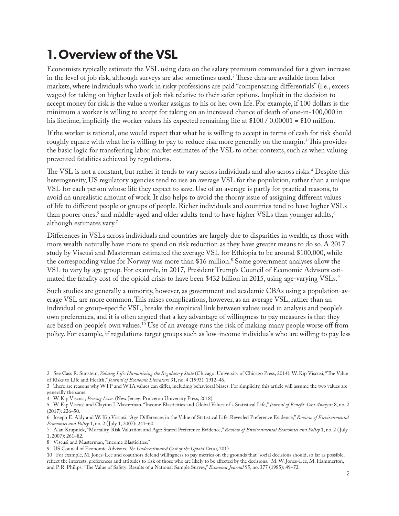#### **1.Overview of the VSL**

Economists typically estimate the VSL using data on the salary premium commanded for a given increase in the level of job risk, although surveys are also sometimes used.2 These data are available from labor markets, where individuals who work in risky professions are paid "compensating differentials" (i.e., excess wages) for taking on higher levels of job risk relative to their safer options. Implicit in the decision to accept money for risk is the value a worker assigns to his or her own life. For example, if 100 dollars is the minimum a worker is willing to accept for taking on an increased chance of death of one-in-100,000 in his lifetime, implicitly the worker values his expected remaining life at \$100 / 0.00001 = \$10 million.

If the worker is rational, one would expect that what he is willing to accept in terms of cash for risk should roughly equate with what he is willing to pay to reduce risk more generally on the margin.<sup>3</sup> This provides the basic logic for transferring labor market estimates of the VSL to other contexts, such as when valuing prevented fatalities achieved by regulations.

The VSL is not a constant, but rather it tends to vary across individuals and also across risks.4 Despite this heterogeneity, US regulatory agencies tend to use an average VSL for the population, rather than a unique VSL for each person whose life they expect to save. Use of an average is partly for practical reasons, to avoid an unrealistic amount of work. It also helps to avoid the thorny issue of assigning different values of life to different people or groups of people. Richer individuals and countries tend to have higher VSLs than poorer ones,<sup>5</sup> and middle-aged and older adults tend to have higher VSLs than younger adults,<sup>6</sup> although estimates vary.7

Differences in VSLs across individuals and countries are largely due to disparities in wealth, as those with more wealth naturally have more to spend on risk reduction as they have greater means to do so. A 2017 study by Viscusi and Masterman estimated the average VSL for Ethiopia to be around \$100,000, while the corresponding value for Norway was more than \$16 million.<sup>8</sup> Some government analyses allow the VSL to vary by age group. For example, in 2017, President Trump's Council of Economic Advisors estimated the fatality cost of the opioid crisis to have been \$432 billion in 2015, using age-varying VSLs.<sup>9</sup>

Such studies are generally a minority, however, as government and academic CBAs using a population-average VSL are more common. This raises complications, however, as an average VSL, rather than an individual or group-specific VSL, breaks the empirical link between values used in analysis and people's own preferences, and it is often argued that a key advantage of willingness to pay measures is that they are based on people's own values.10 Use of an average runs the risk of making many people worse off from policy. For example, if regulations target groups such as low-income individuals who are willing to pay less

8 Viscusi and Masterman, "Income Elasticities."

<sup>2</sup> See Cass R. Sunstein, *Valuing Life: Humanizing the Regulatory State* (Chicago: University of Chicago Press, 2014); W. Kip Viscusi, "The Value of Risks to Life and Health," *Journal of Economic Literature* 31, no. 4 (1993): 1912–46.

<sup>3</sup> There are reasons why WTP and WTA values can differ, including behavioral biases. For simplicity, this article will assume the two values are generally the same.

<sup>4</sup> W. Kip Viscusi, *Pricing Lives* (New Jersey: Princeton University Press, 2018).

<sup>5</sup> W. Kip Viscusi and Clayton J. Masterman, "Income Elasticities and Global Values of a Statistical Life," *Journal of Benefit-Cost Analysis* 8, no. 2 (2017): 226–50.

<sup>6</sup> Joseph E. Aldy and W. Kip Viscusi, "Age Differences in the Value of Statistical Life: Revealed Preference Evidence," *Review of Environmental Economics and Policy* 1, no. 2 ( July 1, 2007): 241–60.

<sup>7</sup> Alan Krupnick, "Mortality-Risk Valuation and Age: Stated Preference Evidence," *Review of Environmental Economics and Policy* 1, no. 2 ( July 1, 2007): 261–82.

<sup>9</sup> US Council of Economic Advisors, *The Underestimated Cost of the Opioid Crisis*, 2017.

<sup>10</sup> For example, M. Jones-Lee and coauthors defend willingness to pay metrics on the grounds that "social decisions should, so far as possible, reflect the interests, preferences and attitudes to risk of those who are likely to be affected by the decisions." M. W. Jones-Lee, M. Hammerton, and P. R. Philips, "The Value of Safety: Results of a National Sample Survey," *Economic Journal* 95, no. 377 (1985): 49–72.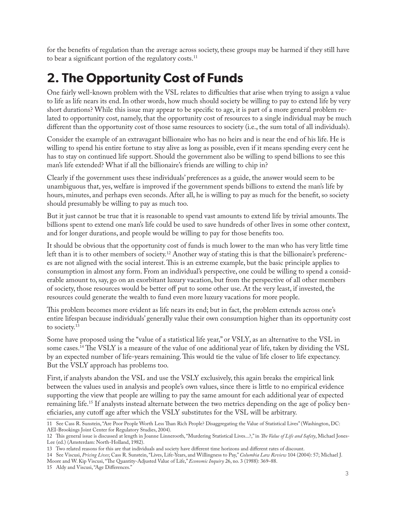for the benefits of regulation than the average across society, these groups may be harmed if they still have to bear a significant portion of the regulatory costs.<sup>11</sup>

#### **2. The Opportunity Cost of Funds**

One fairly well-known problem with the VSL relates to difficulties that arise when trying to assign a value to life as life nears its end. In other words, how much should society be willing to pay to extend life by very short durations? While this issue may appear to be specific to age, it is part of a more general problem related to opportunity cost, namely, that the opportunity cost of resources to a single individual may be much different than the opportunity cost of those same resources to society (i.e., the sum total of all individuals).

Consider the example of an extravagant billionaire who has no heirs and is near the end of his life. He is willing to spend his entire fortune to stay alive as long as possible, even if it means spending every cent he has to stay on continued life support. Should the government also be willing to spend billions to see this man's life extended? What if all the billionaire's friends are willing to chip in?

Clearly if the government uses these individuals' preferences as a guide, the answer would seem to be unambiguous that, yes, welfare is improved if the government spends billions to extend the man's life by hours, minutes, and perhaps even seconds. After all, he is willing to pay as much for the benefit, so society should presumably be willing to pay as much too.

But it just cannot be true that it is reasonable to spend vast amounts to extend life by trivial amounts. The billions spent to extend one man's life could be used to save hundreds of other lives in some other context, and for longer durations, and people would be willing to pay for those benefits too.

It should be obvious that the opportunity cost of funds is much lower to the man who has very little time left than it is to other members of society.12 Another way of stating this is that the billionaire's preferences are not aligned with the social interest. This is an extreme example, but the basic principle applies to consumption in almost any form. From an individual's perspective, one could be willing to spend a considerable amount to, say, go on an exorbitant luxury vacation, but from the perspective of all other members of society, those resources would be better off put to some other use. At the very least, if invested, the resources could generate the wealth to fund even more luxury vacations for more people.

This problem becomes more evident as life nears its end; but in fact, the problem extends across one's entire lifespan because individuals' generally value their own consumption higher than its opportunity cost to society.<sup>13</sup>

Some have proposed using the "value of a statistical life year," or VSLY, as an alternative to the VSL in some cases.14 The VSLY is a measure of the value of one additional year of life, taken by dividing the VSL by an expected number of life-years remaining. This would tie the value of life closer to life expectancy. But the VSLY approach has problems too.

First, if analysts abandon the VSL and use the VSLY exclusively, this again breaks the empirical link between the values used in analysis and people's own values, since there is little to no empirical evidence supporting the view that people are willing to pay the same amount for each additional year of expected remaining life.15 If analysts instead alternate between the two metrics depending on the age of policy beneficiaries, any cutoff age after which the VSLY substitutes for the VSL will be arbitrary.

<sup>11</sup> See Cass R. Sunstein, "Are Poor People Worth Less Than Rich People? Disaggregating the Value of Statistical Lives" (Washington, DC: AEI-Brookings Joint Center for Regulatory Studies, 2004).

<sup>12</sup> This general issue is discussed at length in Joanne Linnerooth, "Murdering Statistical Lives...?," in *The Value of Life and Safety*, Michael Jones-Lee (ed.) (Amsterdam: North-Holland, 1982).

<sup>13</sup> Two related reasons for this are that individuals and society have different time horizons and different rates of discount.

<sup>14</sup> See Viscusi, *Pricing Lives*; Cass R. Sunstein, "Lives, Life-Years, and Willingness to Pay," *Columbia Law Review* 104 (2004): 57; Michael J.

Moore and W. Kip Viscusi, "The Quantity-Adjusted Value of Life," *Economic Inquiry* 26, no. 3 (1988): 369–88.

<sup>15</sup> Aldy and Viscusi, "Age Differences."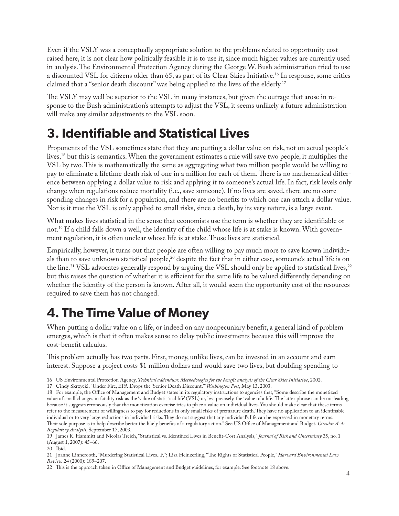Even if the VSLY was a conceptually appropriate solution to the problems related to opportunity cost raised here, it is not clear how politically feasible it is to use it, since much higher values are currently used in analysis. The Environmental Protection Agency during the George W. Bush administration tried to use a discounted VSL for citizens older than 65, as part of its Clear Skies Initiative.16 In response, some critics claimed that a "senior death discount" was being applied to the lives of the elderly.17

The VSLY may well be superior to the VSL in many instances, but given the outrage that arose in response to the Bush administration's attempts to adjust the VSL, it seems unlikely a future administration will make any similar adjustments to the VSL soon.

#### **3. Identifiable and Statistical Lives**

Proponents of the VSL sometimes state that they are putting a dollar value on risk, not on actual people's lives,18 but this is semantics. When the government estimates a rule will save two people, it multiplies the VSL by two. This is mathematically the same as aggregating what two million people would be willing to pay to eliminate a lifetime death risk of one in a million for each of them. There is no mathematical difference between applying a dollar value to risk and applying it to someone's actual life. In fact, risk levels only change when regulations reduce mortality (i.e., save someone). If no lives are saved, there are no corresponding changes in risk for a population, and there are no benefits to which one can attach a dollar value. Nor is it true the VSL is only applied to small risks, since a death, by its very nature, is a large event.

What makes lives statistical in the sense that economists use the term is whether they are identifiable or not.19 If a child falls down a well, the identity of the child whose life is at stake is known. With government regulation, it is often unclear whose life is at stake. Those lives are statistical.

Empirically, however, it turns out that people are often willing to pay much more to save known individuals than to save unknown statistical people,<sup>20</sup> despite the fact that in either case, someone's actual life is on the line.<sup>21</sup> VSL advocates generally respond by arguing the VSL should only be applied to statistical lives,<sup>22</sup> but this raises the question of whether it is efficient for the same life to be valued differently depending on whether the identity of the person is known. After all, it would seem the opportunity cost of the resources required to save them has not changed.

#### **4. The Time Value of Money**

When putting a dollar value on a life, or indeed on any nonpecuniary benefit, a general kind of problem emerges, which is that it often makes sense to delay public investments because this will improve the cost-benefit calculus.

This problem actually has two parts. First, money, unlike lives, can be invested in an account and earn interest. Suppose a project costs \$1 million dollars and would save two lives, but doubling spending to

<sup>16</sup> US Environmental Protection Agency, *Technical addendum: Methodologies for the benefit analysis of the Clear Skies Initiative*, 2002.

<sup>17</sup> Cindy Skrzycki, "Under Fire, EPA Drops the 'Senior Death Discount,'" *Washington Post*, May 13, 2003.

<sup>18</sup> For example, the Office of Management and Budget states in its regulatory instructions to agencies that, "Some describe the monetized value of small changes in fatality risk as the 'value of statistical life' (VSL) or, less precisely, the 'value of a life.' The latter phrase can be misleading because it suggests erroneously that the monetization exercise tries to place a value on individual lives. You should make clear that these terms refer to the measurement of willingness to pay for reductions in only small risks of premature death. They have no application to an identifiable individual or to very large reductions in individual risks. They do not suggest that any individual's life can be expressed in monetary terms. Their sole purpose is to help describe better the likely benefits of a regulatory action." See US Office of Management and Budget, *Circular A-4: Regulatory Analysis*, September 17, 2003.

<sup>19</sup> James K. Hammitt and Nicolas Treich, "Statistical vs. Identified Lives in Benefit-Cost Analysis," *Journal of Risk and Uncertainty* 35, no. 1 (August 1, 2007): 45–66.

<sup>20</sup> Ibid.

<sup>21</sup> Joanne Linnerooth, "Murdering Statistical Lives...?,"; Lisa Heinzerling, "The Rights of Statistical People," *Harvard Environmental Law Review* 24 (2000): 189–207.

<sup>22</sup> This is the approach taken in Office of Management and Budget guidelines, for example. See footnote 18 above.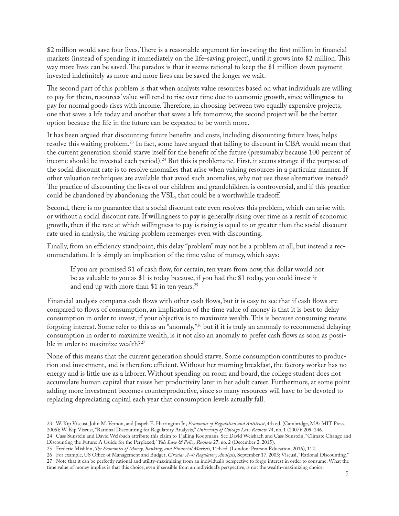\$2 million would save four lives. There is a reasonable argument for investing the first million in financial markets (instead of spending it immediately on the life-saving project), until it grows into \$2 million. This way more lives can be saved. The paradox is that it seems rational to keep the \$1 million down payment invested indefinitely as more and more lives can be saved the longer we wait.

The second part of this problem is that when analysts value resources based on what individuals are willing to pay for them, resources' value will tend to rise over time due to economic growth, since willingness to pay for normal goods rises with income. Therefore, in choosing between two equally expensive projects, one that saves a life today and another that saves a life tomorrow, the second project will be the better option because the life in the future can be expected to be worth more.

It has been argued that discounting future benefits and costs, including discounting future lives, helps resolve this waiting problem.23 In fact, some have argued that failing to discount in CBA would mean that the current generation should starve itself for the benefit of the future (presumably because 100 percent of income should be invested each period).24 But this is problematic. First, it seems strange if the purpose of the social discount rate is to resolve anomalies that arise when valuing resources in a particular manner. If other valuation techniques are available that avoid such anomalies, why not use these alternatives instead? The practice of discounting the lives of our children and grandchildren is controversial, and if this practice could be abandoned by abandoning the VSL, that could be a worthwhile tradeoff.

Second, there is no guarantee that a social discount rate even resolves this problem, which can arise with or without a social discount rate. If willingness to pay is generally rising over time as a result of economic growth, then if the rate at which willingness to pay is rising is equal to or greater than the social discount rate used in analysis, the waiting problem reemerges even with discounting.

Finally, from an efficiency standpoint, this delay "problem" may not be a problem at all, but instead a recommendation. It is simply an implication of the time value of money, which says:

If you are promised \$1 of cash flow, for certain, ten years from now, this dollar would not be as valuable to you as \$1 is today because, if you had the \$1 today, you could invest it and end up with more than \$1 in ten years.<sup>25</sup>

Financial analysis compares cash flows with other cash flows, but it is easy to see that if cash flows are compared to flows of consumption, an implication of the time value of money is that it is best to delay consumption in order to invest, if your objective is to maximize wealth. This is because consuming means forgoing interest. Some refer to this as an "anomaly,"26 but if it is truly an anomaly to recommend delaying consumption in order to maximize wealth, is it not also an anomaly to prefer cash flows as soon as possible in order to maximize wealth?<sup>27</sup>

None of this means that the current generation should starve. Some consumption contributes to production and investment, and is therefore efficient. Without her morning breakfast, the factory worker has no energy and is little use as a laborer. Without spending on room and board, the college student does not accumulate human capital that raises her productivity later in her adult career. Furthermore, at some point adding more investment becomes counterproductive, since so many resources will have to be devoted to replacing depreciating capital each year that consumption levels actually fall.

<sup>23</sup> W. Kip Viscusi, John M. Vernon, and Jospeh E. Harrington Jr., *Economics of Regulation and Antitrust*, 4th ed. (Cambridge, MA: MIT Press, 2005); W. Kip Viscusi, "Rational Discounting for Regulatory Analysis," *University of Chicago Law Review* 74, no. 1 (2007): 209–246.

<sup>24</sup> Cass Sunstein and David Weisbach attribute this claim to Tjalling Koopmans. See David Weisbach and Cass Sunstein, "Climate Change and Discounting the Future: A Guide for the Perplexed," *Yale Law & Policy Review* 27, no. 2 (December 2, 2015).

<sup>25</sup> Frederic Mishkin, *The Economics of Money, Banking, and Financial Markets*, 11th ed. (London: Pearson Education, 2016), 112.

<sup>26</sup> For example, US Office of Management and Budget, *Circular A-4: Regulatory Analysis*, September 17, 2003; Viscusi, "Rational Discounting." 27 Note that it can be perfectly rational and utility-maximizing from an individual's perspective to forgo interest in order to consume. What the time value of money implies is that this choice, even if sensible from an individual's perspective, is not the wealth-maximizing choice.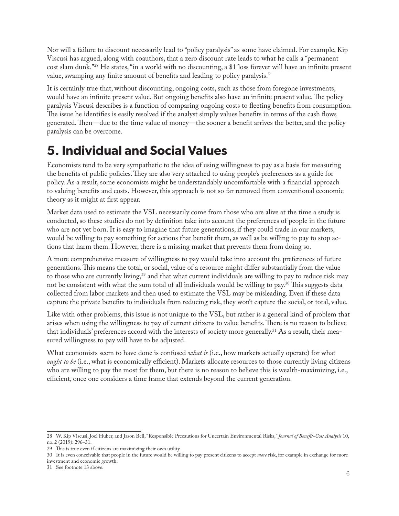Nor will a failure to discount necessarily lead to "policy paralysis" as some have claimed. For example, Kip Viscusi has argued, along with coauthors, that a zero discount rate leads to what he calls a "permanent cost slam dunk."28 He states, "in a world with no discounting, a \$1 loss forever will have an infinite present value, swamping any finite amount of benefits and leading to policy paralysis."

It is certainly true that, without discounting, ongoing costs, such as those from foregone investments, would have an infinite present value. But ongoing benefits also have an infinite present value. The policy paralysis Viscusi describes is a function of comparing ongoing costs to fleeting benefits from consumption. The issue he identifies is easily resolved if the analyst simply values benefits in terms of the cash flows generated. Then—due to the time value of money—the sooner a benefit arrives the better, and the policy paralysis can be overcome.

#### **5. Individual and Social Values**

Economists tend to be very sympathetic to the idea of using willingness to pay as a basis for measuring the benefits of public policies. They are also very attached to using people's preferences as a guide for policy. As a result, some economists might be understandably uncomfortable with a financial approach to valuing benefits and costs. However, this approach is not so far removed from conventional economic theory as it might at first appear.

Market data used to estimate the VSL necessarily come from those who are alive at the time a study is conducted, so these studies do not by definition take into account the preferences of people in the future who are not yet born. It is easy to imagine that future generations, if they could trade in our markets, would be willing to pay something for actions that benefit them, as well as be willing to pay to stop actions that harm them. However, there is a missing market that prevents them from doing so.

A more comprehensive measure of willingness to pay would take into account the preferences of future generations. This means the total, or social, value of a resource might differ substantially from the value to those who are currently living,<sup>29</sup> and that what current individuals are willing to pay to reduce risk may not be consistent with what the sum total of all individuals would be willing to pay.30 This suggests data collected from labor markets and then used to estimate the VSL may be misleading. Even if these data capture the private benefits to individuals from reducing risk, they won't capture the social, or total, value.

Like with other problems, this issue is not unique to the VSL, but rather is a general kind of problem that arises when using the willingness to pay of current citizens to value benefits. There is no reason to believe that individuals' preferences accord with the interests of society more generally.31 As a result, their measured willingness to pay will have to be adjusted.

What economists seem to have done is confused *what is* (i.e., how markets actually operate) for what *ought to be* (i.e., what is economically efficient). Markets allocate resources to those currently living citizens who are willing to pay the most for them, but there is no reason to believe this is wealth-maximizing, i.e., efficient, once one considers a time frame that extends beyond the current generation.

<sup>28</sup> W. Kip Viscusi, Joel Huber, and Jason Bell, "Responsible Precautions for Uncertain Environmental Risks," *Journal of Benefit-Cost Analysis* 10, no. 2 (2019): 296–31.

<sup>29</sup> This is true even if citizens are maximizing their own utility.

<sup>30</sup> It is even conceivable that people in the future would be willing to pay present citizens to accept *more* risk, for example in exchange for more investment and economic growth.

<sup>31</sup> See footnote 13 above.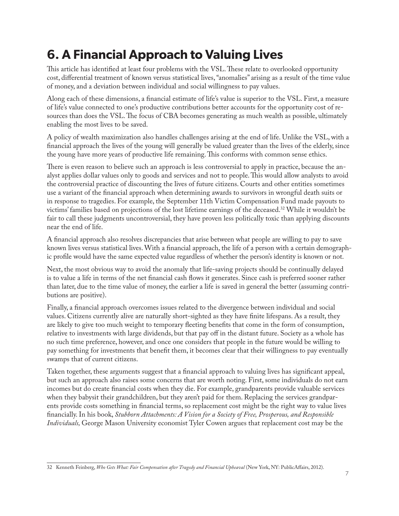### **6. A Financial Approach to Valuing Lives**

This article has identified at least four problems with the VSL. These relate to overlooked opportunity cost, differential treatment of known versus statistical lives, "anomalies" arising as a result of the time value of money, and a deviation between individual and social willingness to pay values.

Along each of these dimensions, a financial estimate of life's value is superior to the VSL. First, a measure of life's value connected to one's productive contributions better accounts for the opportunity cost of resources than does the VSL. The focus of CBA becomes generating as much wealth as possible, ultimately enabling the most lives to be saved.

A policy of wealth maximization also handles challenges arising at the end of life. Unlike the VSL, with a financial approach the lives of the young will generally be valued greater than the lives of the elderly, since the young have more years of productive life remaining. This conforms with common sense ethics.

There is even reason to believe such an approach is less controversial to apply in practice, because the analyst applies dollar values only to goods and services and not to people. This would allow analysts to avoid the controversial practice of discounting the lives of future citizens. Courts and other entities sometimes use a variant of the financial approach when determining awards to survivors in wrongful death suits or in response to tragedies. For example, the September 11th Victim Compensation Fund made payouts to victims' families based on projections of the lost lifetime earnings of the deceased.32 While it wouldn't be fair to call these judgments uncontroversial, they have proven less politically toxic than applying discounts near the end of life.

A financial approach also resolves discrepancies that arise between what people are willing to pay to save known lives versus statistical lives. With a financial approach, the life of a person with a certain demographic profile would have the same expected value regardless of whether the person's identity is known or not.

Next, the most obvious way to avoid the anomaly that life-saving projects should be continually delayed is to value a life in terms of the net financial cash flows it generates. Since cash is preferred sooner rather than later, due to the time value of money, the earlier a life is saved in general the better (assuming contributions are positive).

Finally, a financial approach overcomes issues related to the divergence between individual and social values. Citizens currently alive are naturally short-sighted as they have finite lifespans. As a result, they are likely to give too much weight to temporary fleeting benefits that come in the form of consumption, relative to investments with large dividends, but that pay off in the distant future. Society as a whole has no such time preference, however, and once one considers that people in the future would be willing to pay something for investments that benefit them, it becomes clear that their willingness to pay eventually swamps that of current citizens.

Taken together, these arguments suggest that a financial approach to valuing lives has significant appeal, but such an approach also raises some concerns that are worth noting. First, some individuals do not earn incomes but do create financial costs when they die. For example, grandparents provide valuable services when they babysit their grandchildren, but they aren't paid for them. Replacing the services grandparents provide costs something in financial terms, so replacement cost might be the right way to value lives financially. In his book, *Stubborn Attachments: A Vision for a Society of Free, Prosperous, and Responsible Individuals,* George Mason University economist Tyler Cowen argues that replacement cost may be the

<sup>32</sup> Kenneth Feinberg, *Who Gets What: Fair Compensation after Tragedy and Financial Upheaval* (New York, NY: PublicAffairs, 2012).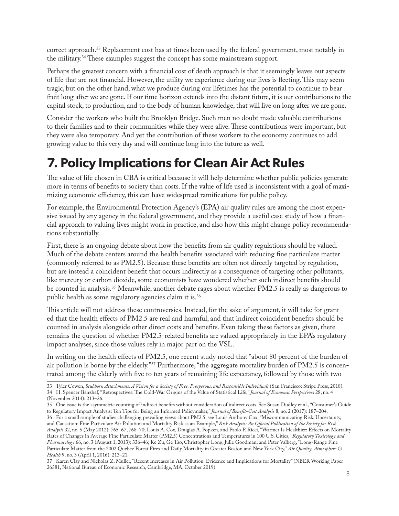correct approach.<sup>33</sup> Replacement cost has at times been used by the federal government, most notably in the military.34 These examples suggest the concept has some mainstream support.

Perhaps the greatest concern with a financial cost of death approach is that it seemingly leaves out aspects of life that are not financial. However, the utility we experience during our lives is fleeting. This may seem tragic, but on the other hand, what we produce during our lifetimes has the potential to continue to bear fruit long after we are gone. If our time horizon extends into the distant future, it is our contributions to the capital stock, to production, and to the body of human knowledge, that will live on long after we are gone.

Consider the workers who built the Brooklyn Bridge. Such men no doubt made valuable contributions to their families and to their communities while they were alive. These contributions were important, but they were also temporary. And yet the contribution of these workers to the economy continues to add growing value to this very day and will continue long into the future as well.

#### **7. Policy Implications for Clean Air Act Rules**

The value of life chosen in CBA is critical because it will help determine whether public policies generate more in terms of benefits to society than costs. If the value of life used is inconsistent with a goal of maximizing economic efficiency, this can have widespread ramifications for public policy.

For example, the Environmental Protection Agency's (EPA) air quality rules are among the most expensive issued by any agency in the federal government, and they provide a useful case study of how a financial approach to valuing lives might work in practice, and also how this might change policy recommendations substantially.

First, there is an ongoing debate about how the benefits from air quality regulations should be valued. Much of the debate centers around the health benefits associated with reducing fine particulate matter (commonly referred to as PM2.5). Because these benefits are often not directly targeted by regulation, but are instead a coincident benefit that occurs indirectly as a consequence of targeting other pollutants, like mercury or carbon dioxide, some economists have wondered whether such indirect benefits should be counted in analysis.<sup>35</sup> Meanwhile, another debate rages about whether PM2.5 is really as dangerous to public health as some regulatory agencies claim it is.36

This article will not address these controversies. Instead, for the sake of argument, it will take for granted that the health effects of PM2.5 are real and harmful, and that indirect coincident benefits should be counted in analysis alongside other direct costs and benefits. Even taking these factors as given, there remains the question of whether PM2.5-related benefits are valued appropriately in the EPA's regulatory impact analyses, since those values rely in major part on the VSL.

In writing on the health effects of PM2.5, one recent study noted that "about 80 percent of the burden of air pollution is borne by the elderly."37 Furthermore, "the aggregate mortality burden of PM2.5 is concentrated among the elderly with five to ten years of remaining life expectancy, followed by those with two

<sup>33</sup> Tyler Cowen, *Stubborn Attachments: A Vision for a Society of Free, Prosperous, and Responsible Individuals* (San Francisco: Stripe Press, 2018). 34 H. Spencer Banzhaf, "Retrospectives: The Cold-War Origins of the Value of Statistical Life," *Journal of Economic Perspectives* 28, no. 4 (November 2014): 213–26.

<sup>35</sup> One issue is the asymmetric counting of indirect benefits without consideration of indirect costs. See Susan Dudley et al., "Consumer's Guide to Regulatory Impact Analysis: Ten Tips for Being an Informed Policymaker," *Journal of Benefit-Cost Analysis* 8, no. 2 (2017): 187–204. 36 For a small sample of studies challenging prevailing views about PM2.5, see Louis Anthony Cox, "Miscommunicating Risk, Uncertainty, and Causation: Fine Particulate Air Pollution and Mortality Risk as an Example," *Risk Analysis: An Official Publication of the Society for Risk Analysis* 32, no. 5 (May 2012): 765–67, 768–70; Louis A. Cox, Douglas A. Popken, and Paolo F. Ricci, "Warmer Is Healthier: Effects on Mortality Rates of Changes in Average Fine Particulate Matter (PM2.5) Concentrations and Temperatures in 100 U.S. Cities," *Regulatory Toxicology and Pharmacology* 66, no. 3 (August 1, 2013): 336–46; Ke Zu, Ge Tao, Christopher Long, Julie Goodman, and Peter Valberg, "Long-Range Fine Particulate Matter from the 2002 Quebec Forest Fires and Daily Mortality in Greater Boston and New York City," *Air Quality, Atmosphere & Health* 9, no. 3 (April 1, 2016): 213–21.

<sup>37</sup> Karen Clay and Nicholas Z. Muller, "Recent Increases in Air Pollution: Evidence and Implications for Mortality" (NBER Working Paper 26381, National Bureau of Economic Research, Cambridge, MA, October 2019).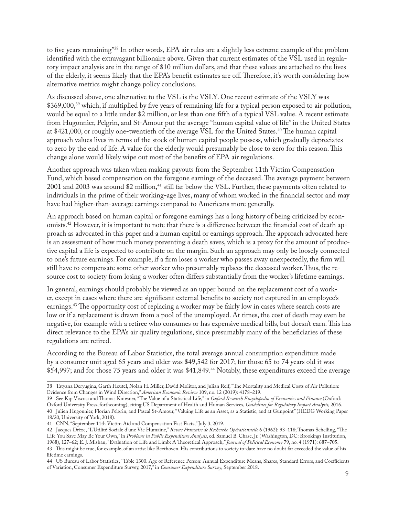to five years remaining"38 In other words, EPA air rules are a slightly less extreme example of the problem identified with the extravagant billionaire above. Given that current estimates of the VSL used in regulatory impact analysis are in the range of \$10 million dollars, and that these values are attached to the lives of the elderly, it seems likely that the EPA's benefit estimates are off. Therefore, it's worth considering how alternative metrics might change policy conclusions.

As discussed above, one alternative to the VSL is the VSLY. One recent estimate of the VSLY was \$369,000,<sup>39</sup> which, if multiplied by five years of remaining life for a typical person exposed to air pollution, would be equal to a little under \$2 million, or less than one fifth of a typical VSL value. A recent estimate from Hugonnier, Pelgrin, and St-Amour put the average "human capital value of life" in the United States at \$421,000, or roughly one-twentieth of the average VSL for the United States.<sup>40</sup> The human capital approach values lives in terms of the stock of human capital people possess, which gradually depreciates to zero by the end of life. A value for the elderly would presumably be close to zero for this reason. This change alone would likely wipe out most of the benefits of EPA air regulations.

Another approach was taken when making payouts from the September 11th Victim Compensation Fund, which based compensation on the foregone earnings of the deceased. The average payment between 2001 and 2003 was around \$2 million,<sup>41</sup> still far below the VSL. Further, these payments often related to individuals in the prime of their working-age lives, many of whom worked in the financial sector and may have had higher-than-average earnings compared to Americans more generally.

An approach based on human capital or foregone earnings has a long history of being criticized by economists.42 However, it is important to note that there is a difference between the financial cost of death approach as advocated in this paper and a human capital or earnings approach. The approach advocated here is an assessment of how much money preventing a death saves, which is a proxy for the amount of productive capital a life is expected to contribute on the margin. Such an approach may only be loosely connected to one's future earnings. For example, if a firm loses a worker who passes away unexpectedly, the firm will still have to compensate some other worker who presumably replaces the deceased worker. Thus, the resource cost to society from losing a worker often differs substantially from the worker's lifetime earnings.

In general, earnings should probably be viewed as an upper bound on the replacement cost of a worker, except in cases where there are significant external benefits to society not captured in an employee's earnings.43 The opportunity cost of replacing a worker may be fairly low in cases where search costs are low or if a replacement is drawn from a pool of the unemployed. At times, the cost of death may even be negative, for example with a retiree who consumes or has expensive medical bills, but doesn't earn. This has direct relevance to the EPA's air quality regulations, since presumably many of the beneficiaries of these regulations are retired.

According to the Bureau of Labor Statistics, the total average annual consumption expenditure made by a consumer unit aged 65 years and older was \$49,542 for 2017; for those 65 to 74 years old it was \$54,997; and for those 75 years and older it was \$41,849.44 Notably, these expenditures exceed the average

<sup>38</sup> Tatyana Deryugina, Garth Heutel, Nolan H. Miller, David Molitor, and Julian Reif, "The Mortality and Medical Costs of Air Pollution: Evidence from Changes in Wind Direction," *American Economic Review* 109, no. 12 (2019): 4178–219.

<sup>39</sup> See Kip Viscusi and Thomas Kniesner, "The Value of a Statistical Life," in *Oxford Research Encyclopedia of Economics and Finance* (Oxford: Oxford University Press, forthcoming), citing US Department of Health and Human Services, *Guidelines for Regulatory Impact Analysis,* 2016. 40 Julien Hugonnier, Florian Pelgrin, and Pascal St-Amour, "Valuing Life as an Asset, as a Statistic, and at Gunpoint" (HEDG Working Paper 18/20, University of York, 2018).

<sup>41</sup> CNN, "September 11th Victim Aid and Compensation Fast Facts," July 3, 2019.

<sup>42</sup> Jacques Drèze, "L'Utilité Sociale d'une Vie Humaine," *Revue Française de Recherche Opérationnelle* 6 (1962): 93–118; Thomas Schelling, "The Life You Save May Be Your Own," in *Problems in Public Expenditure Analysis*, ed. Samuel B. Chase, Jr. (Washington, DC: Brookings Institution, 1968), 127–62; E. J. Mishan, "Evaluation of Life and Limb: A Theoretical Approach," *Journal of Political Economy* 79, no. 4 (1971): 687–705. 43 This might be true, for example, of an artist like Beethoven. His contributions to society to-date have no doubt far exceeded the value of his lifetime earnings.

<sup>44</sup> US Bureau of Labor Statistics, "Table 1300. Age of Reference Person: Annual Expenditure Means, Shares, Standard Errors, and Coefficients of Variation, Consumer Expenditure Survey, 2017," in *Consumer Expenditure Survey*, September 2018.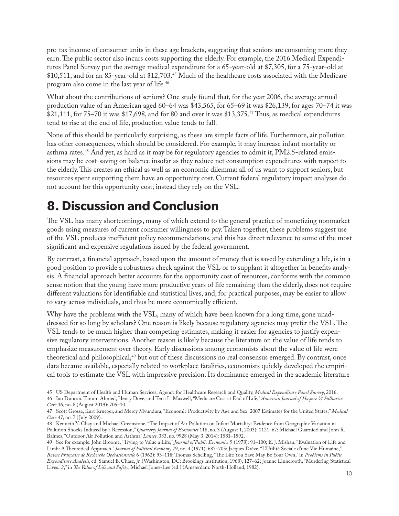pre-tax income of consumer units in these age brackets, suggesting that seniors are consuming more they earn. The public sector also incurs costs supporting the elderly. For example, the 2016 Medical Expenditures Panel Survey put the average medical expenditure for a 65-year-old at \$7,305, for a 75-year-old at \$10,511, and for an 85-year-old at \$12,703.45 Much of the healthcare costs associated with the Medicare program also come in the last year of life.46

What about the contributions of seniors? One study found that, for the year 2006, the average annual production value of an American aged 60–64 was \$43,565, for 65–69 it was \$26,139, for ages 70–74 it was \$21,111, for 75–70 it was \$17,698, and for 80 and over it was \$13,375.<sup>47</sup> Thus, as medical expenditures tend to rise at the end of life, production value tends to fall.

None of this should be particularly surprising, as these are simple facts of life. Furthermore, air pollution has other consequences, which should be considered. For example, it may increase infant mortality or asthma rates.48 And yet, as hard as it may be for regulatory agencies to admit it, PM2.5-related emissions may be cost-saving on balance insofar as they reduce net consumption expenditures with respect to the elderly. This creates an ethical as well as an economic dilemma: all of us want to support seniors, but resources spent supporting them have an opportunity cost. Current federal regulatory impact analyses do not account for this opportunity cost; instead they rely on the VSL.

### **8. Discussion and Conclusion**

The VSL has many shortcomings, many of which extend to the general practice of monetizing nonmarket goods using measures of current consumer willingness to pay. Taken together, these problems suggest use of the VSL produces inefficient policy recommendations, and this has direct relevance to some of the most significant and expensive regulations issued by the federal government.

By contrast, a financial approach, based upon the amount of money that is saved by extending a life, is in a good position to provide a robustness check against the VSL or to supplant it altogether in benefits analysis. A financial approach better accounts for the opportunity cost of resources, conforms with the common sense notion that the young have more productive years of life remaining than the elderly, does not require different valuations for identifiable and statistical lives, and, for practical purposes, may be easier to allow to vary across individuals, and thus be more economically efficient.

Why have the problems with the VSL, many of which have been known for a long time, gone unaddressed for so long by scholars? One reason is likely because regulatory agencies may prefer the VSL. The VSL tends to be much higher than competing estimates, making it easier for agencies to justify expensive regulatory interventions. Another reason is likely because the literature on the value of life tends to emphasize measurement over theory. Early discussions among economists about the value of life were theoretical and philosophical,<sup>49</sup> but out of these discussions no real consensus emerged. By contrast, once data became available, especially related to workplace fatalities, economists quickly developed the empirical tools to estimate the VSL with impressive precision. Its dominance emerged in the academic literature

<sup>45</sup> US Department of Health and Human Services, Agency for Healthcare Research and Quality, *Medical Expenditure Panel Survey*, 2016. 46 Ian Duncan, Tamim Ahmed, Henry Dove, and Terri L. Maxwell, "Medicare Cost at End of Life," *American Journal of Hospice & Palliative Care* 36, no. 8 (August 2019): 705–10.

<sup>47</sup> Scott Grosse, Kurt Krueger, and Mercy Mvundura, "Economic Productivity by Age and Sex: 2007 Estimates for the United States," *Medical Care* 47, no. 7 ( July 2009).

<sup>48</sup> Kenneth Y. Chay and Michael Greenstone, "The Impact of Air Pollution on Infant Mortality: Evidence from Geographic Variation in Pollution Shocks Induced by a Recession," *Quarterly Journal of Economics* 118, no. 3 (August 1, 2003): 1121–67; Michael Guarnieri and John R. Balmes, "Outdoor Air Pollution and Asthma" *Lancet*. 383, no. 9928 (May 3, 2014): 1581–1592.

<sup>49</sup> See for example: John Broome, "Trying to Value a Life," *Journal of Public Economics* 9 (1978): 91–100; E. J. Mishan, "Evaluation of Life and Limb: A Theoretical Approach," *Journal of Political Economy* 79, no. 4 (1971): 687–705; Jacques Drèze, "L'Utilité Sociale d'une Vie Humaine," *Revue Française de Recherche Opérationnelle* 6 (1962): 93–118; Thomas Schelling, "The Life You Save May Be Your Own," in *Problems in Public Expenditure Analysis*, ed. Samuel B. Chase, Jr. (Washington, DC: Brookings Institution, 1968), 127–62; Joanne Linnerooth, "Murdering Statistical Lives...?," in *The Value of Life and Safety*, Michael Jones-Lee (ed.) (Amsterdam: North-Holland, 1982).